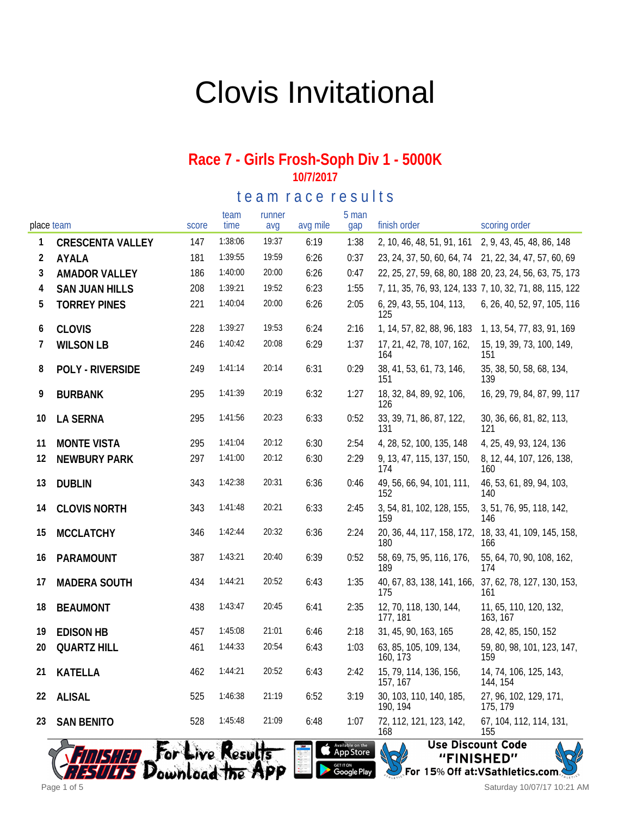## Clovis Invitational

#### **Race 7 - Girls Frosh-Soph Div 1 - 5000K 10/7/2017**

te a m r a c e r e sults

| place team |                         | score | team<br>time     | runner<br>avq | avg mile | 5 man<br>gap                                                                       | finish order                                          | scoring order                                           |
|------------|-------------------------|-------|------------------|---------------|----------|------------------------------------------------------------------------------------|-------------------------------------------------------|---------------------------------------------------------|
| 1          | <b>CRESCENTA VALLEY</b> | 147   | 1:38:06          | 19:37         | 6:19     | 1:38                                                                               | 2, 10, 46, 48, 51, 91, 161 2, 9, 43, 45, 48, 86, 148  |                                                         |
| 2          | AYALA                   | 181   | 1:39:55          | 19:59         | 6:26     | 0:37                                                                               | 23, 24, 37, 50, 60, 64, 74 21, 22, 34, 47, 57, 60, 69 |                                                         |
| 3          | <b>AMADOR VALLEY</b>    | 186   | 1:40:00          | 20:00         | 6:26     | 0:47                                                                               |                                                       | 22, 25, 27, 59, 68, 80, 188 20, 23, 24, 56, 63, 75, 173 |
| 4          | <b>SAN JUAN HILLS</b>   | 208   | 1:39:21          | 19:52         | 6:23     | 1:55                                                                               |                                                       | 7, 11, 35, 76, 93, 124, 133 7, 10, 32, 71, 88, 115, 122 |
| 5          | <b>TORREY PINES</b>     | 221   | 1:40:04          | 20:00         | 6:26     | 2:05                                                                               | 6, 29, 43, 55, 104, 113,<br>125                       | 6, 26, 40, 52, 97, 105, 116                             |
| 6          | <b>CLOVIS</b>           | 228   | 1:39:27          | 19:53         | 6:24     | 2:16                                                                               | 1, 14, 57, 82, 88, 96, 183                            | 1, 13, 54, 77, 83, 91, 169                              |
| 7          | <b>WILSON LB</b>        | 246   | 1:40:42          | 20:08         | 6:29     | 1:37                                                                               | 17, 21, 42, 78, 107, 162,<br>164                      | 15, 19, 39, 73, 100, 149,<br>151                        |
| 8          | POLY - RIVERSIDE        | 249   | 1:41:14          | 20:14         | 6:31     | 0:29                                                                               | 38, 41, 53, 61, 73, 146,<br>151                       | 35, 38, 50, 58, 68, 134,<br>139                         |
| 9          | <b>BURBANK</b>          | 295   | 1:41:39          | 20:19         | 6:32     | 1:27                                                                               | 18, 32, 84, 89, 92, 106,<br>126                       | 16, 29, 79, 84, 87, 99, 117                             |
| 10         | LA SERNA                | 295   | 1:41:56          | 20:23         | 6:33     | 0:52                                                                               | 33, 39, 71, 86, 87, 122,<br>131                       | 30, 36, 66, 81, 82, 113,<br>121                         |
| 11         | <b>MONTE VISTA</b>      | 295   | 1:41:04          | 20:12         | 6:30     | 2:54                                                                               | 4, 28, 52, 100, 135, 148                              | 4, 25, 49, 93, 124, 136                                 |
| 12         | <b>NEWBURY PARK</b>     | 297   | 1:41:00          | 20:12         | 6:30     | 2:29                                                                               | 9, 13, 47, 115, 137, 150,<br>174                      | 8, 12, 44, 107, 126, 138,<br>160                        |
| 13         | <b>DUBLIN</b>           | 343   | 1:42:38          | 20:31         | 6:36     | 0:46                                                                               | 49, 56, 66, 94, 101, 111,<br>152                      | 46, 53, 61, 89, 94, 103,<br>140                         |
| 14         | <b>CLOVIS NORTH</b>     | 343   | 1:41:48          | 20:21         | 6:33     | 2:45                                                                               | 3, 54, 81, 102, 128, 155,<br>159                      | 3, 51, 76, 95, 118, 142,<br>146                         |
| 15         | <b>MCCLATCHY</b>        | 346   | 1:42:44          | 20:32         | 6:36     | 2:24                                                                               | 20, 36, 44, 117, 158, 172,<br>180                     | 18, 33, 41, 109, 145, 158,<br>166                       |
| 16         | PARAMOUNT               | 387   | 1:43:21          | 20:40         | 6:39     | 0:52                                                                               | 58, 69, 75, 95, 116, 176,<br>189                      | 55, 64, 70, 90, 108, 162,<br>174                        |
| 17         | <b>MADERA SOUTH</b>     | 434   | 1:44:21          | 20:52         | 6:43     | 1:35                                                                               | 40, 67, 83, 138, 141, 166,<br>175                     | 37, 62, 78, 127, 130, 153,<br>161                       |
| 18         | <b>BEAUMONT</b>         | 438   | 1:43:47          | 20:45         | 6:41     | 2:35                                                                               | 12, 70, 118, 130, 144,<br>177, 181                    | 11, 65, 110, 120, 132,<br>163, 167                      |
| 19         | <b>EDISON HB</b>        | 457   | 1:45:08          | 21:01         | 6:46     | 2:18                                                                               | 31, 45, 90, 163, 165                                  | 28, 42, 85, 150, 152                                    |
| 20         | <b>QUARTZ HILL</b>      | 461   | 1:44:33          | 20:54         | 6:43     | 1:03                                                                               | 63, 85, 105, 109, 134,<br>160, 173                    | 59, 80, 98, 101, 123, 147,<br>159                       |
| 21         | KATELLA                 | 462   | 1:44:21          | 20:52         | 6:43     | 2:42                                                                               | 15, 79, 114, 136, 156,<br>157, 167                    | 14, 74, 106, 125, 143,<br>144, 154                      |
| 22         | ALISAL                  | 525   | 1:46:38          | 21:19         | 6:52     | 3:19                                                                               | 30, 103, 110, 140, 185,<br>190, 194                   | 27, 96, 102, 129, 171,<br>175, 179                      |
| 23         | <b>SAN BENITO</b>       | 528   | 1:45:48          | 21:09         | 6:48     | 1:07                                                                               | 72, 112, 121, 123, 142,<br>168                        | 67, 104, 112, 114, 131,<br>155                          |
|            | Download the APP        |       | For Live Results |               |          | Available on the<br><b>App Store</b><br><sub>GET IT ON</sub><br><b>Google Play</b> | <b>Use Discount Code</b><br>"FINISHED"                | For 15% Off at: VSathletics.com                         |



Saturday 10/07/17 10:21 AM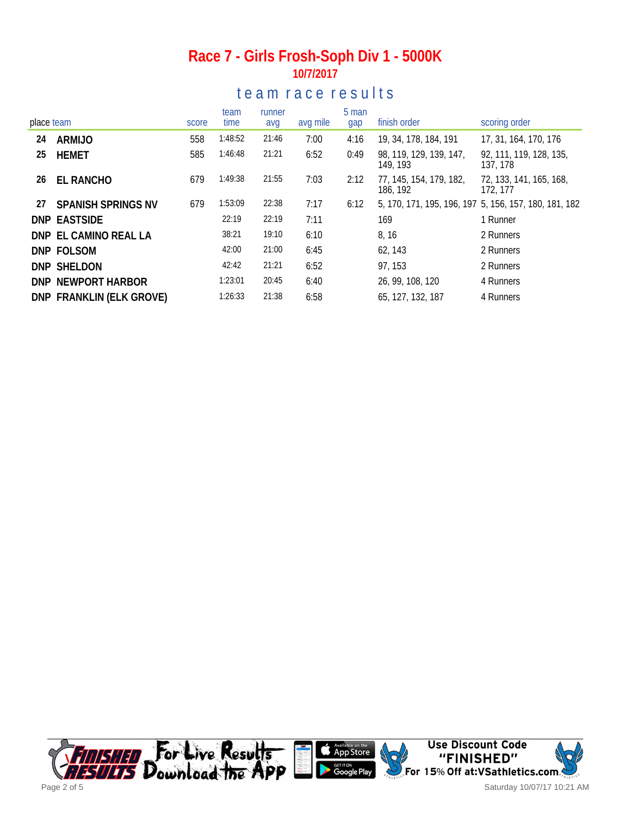#### **Race 7 - Girls Frosh-Soph Div 1 - 5000K 10/7/2017**

#### te a m r a c e r e s ults

| place team |                           | score | team<br>time | runner<br>avg | avg mile | 5 man<br>gap | finish order                        | scoring order                                         |
|------------|---------------------------|-------|--------------|---------------|----------|--------------|-------------------------------------|-------------------------------------------------------|
| 24         | ARMIJO                    | 558   | 1:48:52      | 21:46         | 7:00     | 4:16         | 19, 34, 178, 184, 191               | 17, 31, 164, 170, 176                                 |
| 25         | HEMET                     | 585   | 1:46:48      | 21:21         | 6:52     | 0:49         | 98, 119, 129, 139, 147,<br>149, 193 | 92, 111, 119, 128, 135,<br>137, 178                   |
| 26         | EL RANCHO                 | 679   | 1:49:38      | 21:55         | 7:03     | 2:12         | 77, 145, 154, 179, 182,<br>186, 192 | 72, 133, 141, 165, 168,<br>172, 177                   |
| 27         | <b>SPANISH SPRINGS NV</b> | 679   | 1:53:09      | 22:38         | 7:17     | 6:12         |                                     | 5, 170, 171, 195, 196, 197 5, 156, 157, 180, 181, 182 |
|            | DNP EASTSIDE              |       | 22:19        | 22:19         | 7:11     |              | 169                                 | 1 Runner                                              |
|            | DNP EL CAMINO REAL LA     |       | 38:21        | 19:10         | 6:10     |              | 8, 16                               | 2 Runners                                             |
|            | DNP FOLSOM                |       | 42:00        | 21:00         | 6:45     |              | 62, 143                             | 2 Runners                                             |
|            | DNP SHELDON               |       | 42:42        | 21:21         | 6:52     |              | 97, 153                             | 2 Runners                                             |
|            | DNP NEWPORT HARBOR        |       | 1:23:01      | 20:45         | 6:40     |              | 26, 99, 108, 120                    | 4 Runners                                             |
|            | DNP FRANKLIN (ELK GROVE)  |       | 1:26:33      | 21:38         | 6:58     |              | 65, 127, 132, 187                   | 4 Runners                                             |

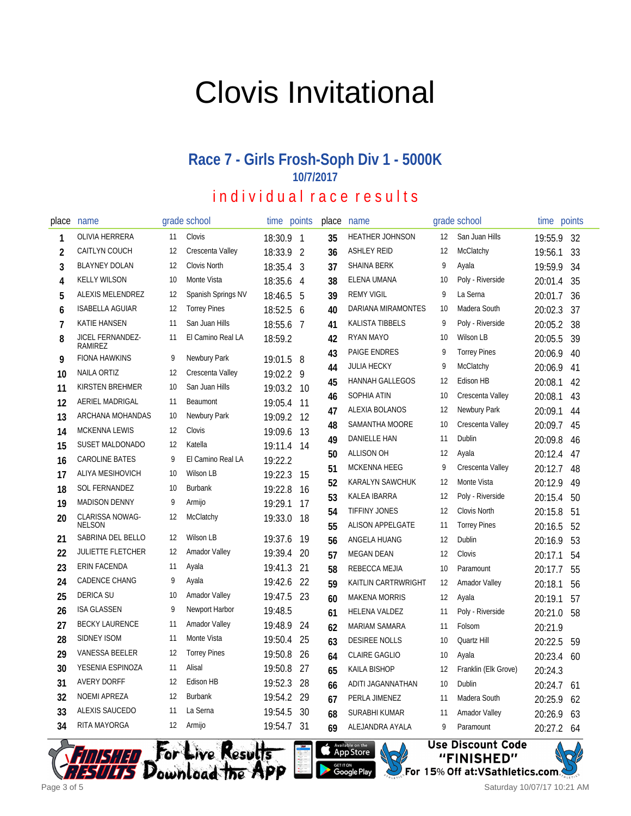# Clovis Invitational

## **Race 7 - Girls Frosh-Soph Div 1 - 5000K 10/7/2017**

### individual race results

| place          | name                        |                   | grade school         | time       | points                   | place | name                    |    | grade school         | time points |     |
|----------------|-----------------------------|-------------------|----------------------|------------|--------------------------|-------|-------------------------|----|----------------------|-------------|-----|
| 1              | OLIVIA HERRERA              | 11                | Clovis               | 18:30.9    | $\overline{\phantom{0}}$ | 35    | <b>HEATHER JOHNSON</b>  | 12 | San Juan Hills       | 19:55.9     | 32  |
| 2              | CAITLYN COUCH               | 12                | Crescenta Valley     | 18:33.9    | $\overline{2}$           | 36    | <b>ASHLEY REID</b>      | 12 | McClatchy            | 19:56.1     | 33  |
| 3              | <b>BLAYNEY DOLAN</b>        | 12                | Clovis North         | 18:35.4    | 3                        | 37    | <b>SHAINA BERK</b>      | 9  | Ayala                | 19:59.9     | 34  |
| 4              | <b>KELLY WILSON</b>         | 10                | Monte Vista          | 18:35.6    | 4                        | 38    | ELENA UMANA             | 10 | Poly - Riverside     | 20:01.4     | 35  |
| 5              | ALEXIS MELENDREZ            | 12                | Spanish Springs NV   | 18:46.5    | 5                        | 39    | <b>REMY VIGIL</b>       | 9  | La Serna             | 20:01.7     | 36  |
| 6              | <b>ISABELLA AGUIAR</b>      | 12                | <b>Torrey Pines</b>  | 18:52.5    | 6                        | 40    | DARIANA MIRAMONTES      | 10 | Madera South         | 20:02.3     | 37  |
| $\overline{1}$ | <b>KATIE HANSEN</b>         | 11                | San Juan Hills       | 18:55.6    | 7                        | 41    | <b>KALISTA TIBBELS</b>  | 9  | Poly - Riverside     | 20:05.2     | 38  |
| 8              | JICEL FERNANDEZ-<br>RAMIREZ | 11                | El Camino Real LA    | 18:59.2    |                          | 42    | RYAN MAYO               | 10 | Wilson LB            | 20:05.5     | 39  |
| 9              | <b>FIONA HAWKINS</b>        | 9                 | Newbury Park         | 19:01.5    | 8                        | 43    | <b>PAIGE ENDRES</b>     | 9  | <b>Torrey Pines</b>  | 20:06.9     | 40  |
| 10             | <b>NAILA ORTIZ</b>          | 12                | Crescenta Valley     | 19:02.2    | 9                        | 44    | <b>JULIA HECKY</b>      | 9  | McClatchy            | 20:06.9     | 41  |
| 11             | KIRSTEN BREHMER             | 10                | San Juan Hills       | 19:03.2    | 10                       | 45    | <b>HANNAH GALLEGOS</b>  | 12 | Edison HB            | 20:08.1     | 42  |
| 12             | AERIEL MADRIGAL             | 11                | Beaumont             | 19:05.4    | 11                       | 46    | SOPHIA ATIN             | 10 | Crescenta Valley     | 20:08.1     | 43  |
| 13             | ARCHANA MOHANDAS            | 10                | Newbury Park         | 19:09.2    | 12                       | 47    | <b>ALEXIA BOLANOS</b>   | 12 | Newbury Park         | 20:09.1     | 44  |
| 14             | <b>MCKENNA LEWIS</b>        | 12                | Clovis               | 19:09.6    | 13                       | 48    | SAMANTHA MOORE          | 10 | Crescenta Valley     | 20:09.7     | 45  |
| 15             | <b>SUSET MALDONADO</b>      | 12                | Katella              | 19:11.4 14 |                          | 49    | DANIELLE HAN            | 11 | Dublin               | 20:09.8     | 46  |
| 16             | <b>CAROLINE BATES</b>       | 9                 | El Camino Real LA    | 19:22.2    |                          | 50    | <b>ALLISON OH</b>       | 12 | Ayala                | 20:12.4     | 47  |
| 17             | ALIYA MESIHOVICH            | 10                | <b>Wilson LB</b>     | 19:22.3    | 15                       | 51    | MCKENNA HEEG            | 9  | Crescenta Valley     | 20:12.7     | 48  |
| 18             | SOL FERNANDEZ               | 10                | <b>Burbank</b>       | 19:22.8    | 16                       | 52    | KARALYN SAWCHUK         | 12 | Monte Vista          | 20:12.9     | 49  |
| 19             | <b>MADISON DENNY</b>        | 9                 | Armijo               | 19:29.1    | 17                       | 53    | KALEA IBARRA            | 12 | Poly - Riverside     | 20:15.4     | 50  |
| 20             | CLARISSA NOWAG-             | 12                | McClatchy            | 19:33.0    | 18                       | 54    | <b>TIFFINY JONES</b>    | 12 | Clovis North         | 20:15.8     | 51  |
|                | <b>NELSON</b>               |                   |                      |            |                          | 55    | <b>ALISON APPELGATE</b> | 11 | <b>Torrey Pines</b>  | 20:16.5     | 52  |
| 21             | SABRINA DEL BELLO           | 12                | Wilson LB            | 19:37.6    | 19                       | 56    | ANGELA HUANG            | 12 | Dublin               | 20:16.9     | 53  |
| 22             | <b>JULIETTE FLETCHER</b>    | 12                | <b>Amador Valley</b> | 19:39.4    | 20                       | 57    | <b>MEGAN DEAN</b>       | 12 | Clovis               | 20:17.1     | 54  |
| 23             | <b>ERIN FACENDA</b>         | 11                | Ayala                | 19:41.3    | 21                       | 58    | REBECCA MEJIA           | 10 | Paramount            | 20:17.7     | 55  |
| 24             | <b>CADENCE CHANG</b>        | 9                 | Ayala                | 19:42.6    | 22                       | 59    | KAITLIN CARTRWRIGHT     | 12 | <b>Amador Valley</b> | 20:18.1     | 56  |
| 25             | <b>DERICA SU</b>            | 10                | <b>Amador Valley</b> | 19:47.5    | 23                       | 60    | <b>MAKENA MORRIS</b>    | 12 | Ayala                | 20:19.1     | 57  |
| 26             | <b>ISA GLASSEN</b>          | 9                 | Newport Harbor       | 19:48.5    |                          | 61    | HELENA VALDEZ           | 11 | Poly - Riverside     | 20:21.0     | 58  |
| 27             | <b>BECKY LAURENCE</b>       | 11                | <b>Amador Valley</b> | 19:48.9    | 24                       | 62    | <b>MARIAM SAMARA</b>    | 11 | Folsom               | 20:21.9     |     |
| 28             | SIDNEY ISOM                 | 11                | Monte Vista          | 19:50.4    | 25                       | 63    | <b>DESIREE NOLLS</b>    | 10 | Quartz Hill          | 20:22.5     | 59  |
| 29             | <b>VANESSA BEELER</b>       | 12                | <b>Torrey Pines</b>  | 19:50.8    | 26                       | 64    | <b>CLAIRE GAGLIO</b>    | 10 | Ayala                | 20:23.4     | 60  |
| 30             | YESENIA ESPINOZA            | 11                | Alisal               | 19:50.8    | 27                       | 65    | <b>KAILA BISHOP</b>     | 12 | Franklin (Elk Grove) | 20:24.3     |     |
| 31             | <b>AVERY DORFF</b>          | 12                | <b>Edison HB</b>     | 19:52.3    | 28                       | 66    | ADITI JAGANNATHAN       | 10 | Dublin               | 20:24.7     | -61 |
| 32             | <b>NOEMI APREZA</b>         | 12                | <b>Burbank</b>       | 19:54.2    | 29                       | 67    | PERLA JIMENEZ           | 11 | Madera South         | 20:25.9     | 62  |
| 33             | ALEXIS SAUCEDO              | 11                | La Serna             | 19:54.5    | 30                       | 68    | SURABHI KUMAR           | 11 | <b>Amador Valley</b> | 20:26.9     | 63  |
| 34             | RITA MAYORGA                | $12 \overline{ }$ | Armijo               | 19:54.7    | 31                       | 69    | ALEJANDRA AYALA         | 9  | Paramount            | 20:27.2     | -64 |





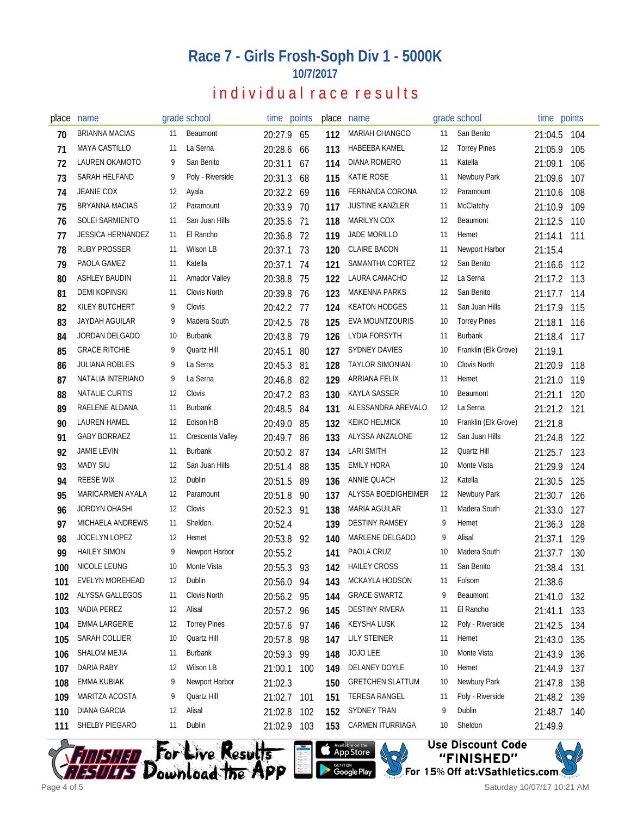#### **Race 7 - Girls Frosh-Soph Div 1 - 5000K 10/7/2017**

#### individual race results

| place | name                     |    | grade school         | time points |     | place | name                    |    | grade school         | time points |     |
|-------|--------------------------|----|----------------------|-------------|-----|-------|-------------------------|----|----------------------|-------------|-----|
| 70    | <b>BRIANNA MACIAS</b>    | 11 | Beaumont             | 20:27.9     | 65  | 112   | MARIAH CHANGCO          | 11 | San Benito           | 21:04.5     | 104 |
| 71    | <b>MAYA CASTILLO</b>     | 11 | La Serna             | 20:28.6     | 66  | 113   | HABEEBA KAMEL           | 12 | <b>Torrey Pines</b>  | 21:05.9     | 105 |
| 72    | LAUREN OKAMOTO           | 9  | San Benito           | 20:31.1     | 67  | 114   | DIANA ROMERO            | 11 | Katella              | 21:09.1     | 106 |
| 73    | SARAH HELFAND            | 9  | Poly - Riverside     | 20:31.3     | 68  | 115   | <b>KATIE ROSE</b>       | 11 | Newbury Park         | 21:09.6     | 107 |
| 74    | JEANIE COX               | 12 | Ayala                | 20:32.2     | 69  | 116   | FERNANDA CORONA         | 12 | Paramount            | 21:10.6     | 108 |
| 75    | BRYANNA MACIAS           | 12 | Paramount            | 20:33.9     | 70  | 117   | <b>JUSTINE KANZLER</b>  | 11 | McClatchy            | 21:10.9     | 109 |
| 76    | SOLEI SARMIENTO          | 11 | San Juan Hills       | 20:35.6     | 71  | 118   | <b>MARILYN COX</b>      | 12 | Beaumont             | 21:12.5     | 110 |
| 77    | <b>JESSICA HERNANDEZ</b> | 11 | El Rancho            | 20:36.8     | 72  | 119   | JADE MORILLO            | 11 | Hemet                | 21:14.1     | 111 |
| 78    | <b>RUBY PROSSER</b>      | 11 | Wilson LB            | 20:37.1     | 73  | 120   | <b>CLAIRE BACON</b>     | 11 | Newport Harbor       | 21:15.4     |     |
| 79    | PAOLA GAMEZ              | 11 | Katella              | 20:37.1     | 74  | 121   | SAMANTHA CORTEZ         | 12 | San Benito           | 21:16.6     | 112 |
| 80    | ASHLEY BAUDIN            | 11 | <b>Amador Valley</b> | 20:38.8     | 75  | 122   | LAURA CAMACHO           | 12 | La Serna             | 21:17.2     | 113 |
| 81    | <b>DEMI KOPINSKI</b>     | 11 | <b>Clovis North</b>  | 20:39.8     | 76  | 123   | <b>MAKENNA PARKS</b>    | 12 | San Benito           | 21:17.7     | 114 |
| 82    | KILEY BUTCHERT           | 9  | Clovis               | 20:42.2 77  |     | 124   | <b>KEATON HODGES</b>    | 11 | San Juan Hills       | 21:17.9     | 115 |
| 83    | <b>JAYDAH AGUILAR</b>    | 9  | Madera South         | 20:42.5     | 78  | 125   | <b>EVA MOUNTZOURIS</b>  | 10 | <b>Torrey Pines</b>  | 21:18.1     | 116 |
| 84    | <b>JORDAN DELGADO</b>    | 10 | <b>Burbank</b>       | 20:43.8     | -79 | 126   | LYDIA FORSYTH           | 11 | <b>Burbank</b>       | 21:18.4     | 117 |
| 85    | <b>GRACE RITCHIE</b>     | 9  | Quartz Hill          | 20:45.1     | 80  | 127   | <b>SYDNEY DAVIES</b>    | 10 | Franklin (Elk Grove) | 21:19.1     |     |
| 86    | <b>JULIANA ROBLES</b>    | 9  | La Serna             | 20:45.3     | 81  | 128   | <b>TAYLOR SIMONIAN</b>  | 10 | Clovis North         | 21:20.9     | 118 |
| 87    | NATALIA INTERIANO        | 9  | La Serna             | 20:46.8     | 82  | 129   | ARRIANA FELIX           | 11 | Hemet                | 21:21.0     | 119 |
| 88    | NATALIE CURTIS           | 12 | Clovis               | 20:47.2     | 83  | 130   | <b>KAYLA SASSER</b>     | 10 | Beaumont             | 21:21.1     | 120 |
| 89    | RAELENE ALDANA           | 11 | <b>Burbank</b>       | 20:48.5     | 84  | 131   | ALESSANDRA AREVALO      | 12 | La Serna             | 21:21.2 121 |     |
| 90    | <b>LAUREN HAMEL</b>      | 12 | Edison HB            | 20:49.0     | 85  | 132   | <b>KEIKO HELMICK</b>    | 10 | Franklin (Elk Grove) | 21:21.8     |     |
| 91    | <b>GABY BORRAEZ</b>      | 11 | Crescenta Valley     | 20:49.7     | 86  | 133   | ALYSSA ANZALONE         | 12 | San Juan Hills       | 21:24.8     | 122 |
| 92    | <b>JAMIE LEVIN</b>       | 11 | <b>Burbank</b>       | 20:50.2     | 87  | 134   | <b>LARI SMITH</b>       | 12 | Quartz Hill          | 21:25.7     | 123 |
| 93    | <b>MADY SIU</b>          | 12 | San Juan Hills       | 20:51.4     | 88  | 135   | <b>EMILY HORA</b>       | 10 | Monte Vista          | 21:29.9     | 124 |
| 94    | <b>REESE WIX</b>         | 12 | Dublin               | 20:51.5     | 89  | 136   | ANNIE QUACH             | 12 | Katella              | 21:30.5     | 125 |
| 95    | MARICARMEN AYALA         | 12 | Paramount            | 20:51.8     | 90  | 137   | ALYSSA BOEDIGHEIMER     | 12 | Newbury Park         | 21:30.7     | 126 |
| 96    | <b>JORDYN OHASHI</b>     | 12 | Clovis               | 20:52.3     | 91  | 138   | MARIA AGUILAR           | 11 | Madera South         | 21:33.0     | 127 |
| 97    | MICHAELA ANDREWS         | 11 | Sheldon              | 20:52.4     |     | 139   | <b>DESTINY RAMSEY</b>   | 9  | Hemet                | 21:36.3     | 128 |
| 98    | JOCELYN LOPEZ            | 12 | Hemet                | 20:53.8     | 92  | 140   | MARLENE DELGADO         | 9  | Alisal               | 21:37.1     | 129 |
| 99    | <b>HAILEY SIMON</b>      | 9  | Newport Harbor       | 20:55.2     |     | 141   | PAOLA CRUZ              | 10 | Madera South         | 21:37.7     | 130 |
| 100   | NICOLE LEUNG             | 10 | Monte Vista          | 20:55.3     | 93  | 142   | <b>HAILEY CROSS</b>     | 11 | San Benito           | 21:38.4 131 |     |
| 101   | EVELYN MOREHEAD          | 12 | Dublin               | 20:56.0 94  |     | 143   | MCKAYLA HODSON          | 11 | Folsom               | 21:38.6     |     |
| 102   | ALYSSA GALLEGOS          | 11 | Clovis North         | 20:56.2 95  |     | 144   | <b>GRACE SWARTZ</b>     | 9  | Beaumont             | 21:41.0     | 132 |
| 103   | NADIA PEREZ              | 12 | Alisal               | 20:57.2 96  |     | 145   | <b>DESTINY RIVERA</b>   | 11 | El Rancho            | 21:41.1     | 133 |
| 104   | <b>EMMA LARGERIE</b>     | 12 | <b>Torrey Pines</b>  | 20:57.6     | 97  | 146   | <b>KEYSHA LUSK</b>      | 12 | Poly - Riverside     | 21:42.5     | 134 |
| 105   | SARAH COLLIER            | 10 | Quartz Hill          | 20:57.8     | 98  | 147   | <b>LILY STEINER</b>     | 11 | Hemet                | 21:43.0     | 135 |
| 106   | SHALOM MEJIA             | 11 | Burbank              | 20:59.3     | 99  | 148   | JOJO LEE                | 10 | Monte Vista          | 21:43.9     | 136 |
| 107   | DARIA RABY               | 12 | Wilson LB            | 21:00.1     | 100 | 149   | DELANEY DOYLE           | 10 | Hemet                | 21:44.9     | 137 |
| 108   | <b>EMMA KUBIAK</b>       | 9  | Newport Harbor       | 21:02.3     |     | 150   | <b>GRETCHEN SLATTUM</b> | 10 | Newbury Park         | 21:47.8     | 138 |
| 109   | MARITZA ACOSTA           | 9  | Quartz Hill          | 21:02.7     | 101 | 151   | TERESA RANGEL           | 11 | Poly - Riverside     | 21:48.2     | 139 |
| 110   | <b>DIANA GARCIA</b>      | 12 | Alisal               | 21:02.8     | 102 | 152   | <b>SYDNEY TRAN</b>      | 9  | Dublin               | 21:48.7     | 140 |
| 111   | SHELBY PIEGARO           | 11 | Dublin               | 21:02.9 103 |     | 153   | CARMEN ITURRIAGA        | 10 | Sheldon              | 21:49.9     |     |







Saturday 10/07/17 10:21 AM